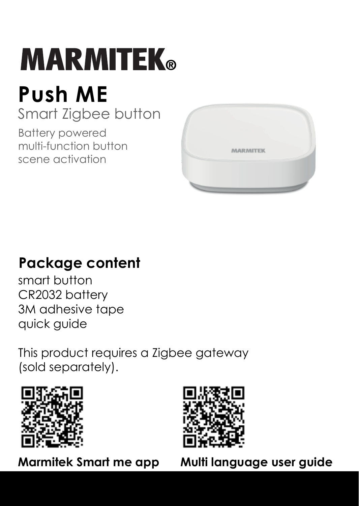# **MARMITEK**®

## **Push ME**

Smart Zigbee button

Battery powered multi-function button scene activation



## **Package content**

smart button CR2032 battery 3M adhesive tape quick guide

This product requires a Zigbee gateway (sold separately).





**Marmitek Smart me app Multi language user guide**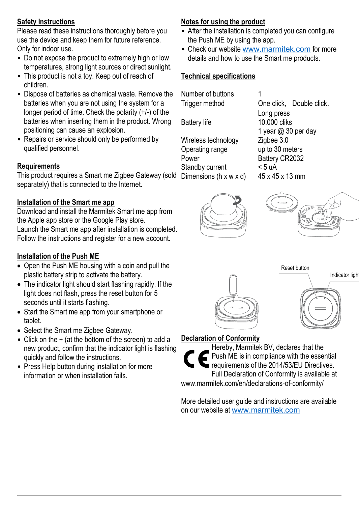#### **Safety Instructions**

Please read these instructions thoroughly before you use the device and keep them for future reference. Only for indoor use.

- Do not expose the product to extremely high or low temperatures, strong light sources or direct sunlight.
- This product is not a toy. Keep out of reach of children.
- Dispose of batteries as chemical waste. Remove the batteries when you are not using the system for a longer period of time. Check the polarity (+/-) of the batteries when inserting them in the product. Wrong positioning can cause an explosion.
- Repairs or service should only be performed by qualified personnel.

#### **Requirements**

This product requires a Smart me Zigbee Gateway (sold Dimensions (h x w x d) 45 x 45 x 13 mm separately) that is connected to the Internet.

#### **Installation of the Smart me app**

Download and install the Marmitek Smart me app from the Apple app store or the Google Play store. Launch the Smart me app after installation is completed. Follow the instructions and register for a new account.

#### **Installation of the Push ME**

- Open the Push ME housing with a coin and pull the plastic battery strip to activate the battery.
- The indicator light should start flashing rapidly. If the light does not flash, press the reset button for 5 seconds until it starts flashing.
- Start the Smart me app from your smartphone or tablet.
- Select the Smart me Zigbee Gateway.
- Click on the + (at the bottom of the screen) to add a new product, confirm that the indicator light is flashing quickly and follow the instructions.
- Press Help button during installation for more information or when installation fails.

#### **Notes for using the product**

- After the installation is completed you can configure the Push ME by using the app.
- Check our website www.marmitek.com for more details and how to use the Smart me products.

#### **Technical specifications**

Number of buttons 1

Battery life

Wireless technology <br>  $\frac{2}{9}$  Zigbee 3.0<br>  $\frac{3.0}{2}$  meters Operating range<br>Power Standby current  $5 uA$ <br>Dimensions (h x w x d)  $45 x 45 x 13 mm$ 

Trigger method One click, Double click, Long press<br>10.000 cliks 1 year @ 30 per day<br>Zigbee 3.0 Battery CR2032<br>< 5 uA









#### **Declaration of Conformity**

Hereby, Marmitek BV, declares that the Push ME is in compliance with the essential requirements of the 2014/53/EU Directives. Full Declaration of Conformity is available at www.marmitek.com/en/declarations-of-conformity/

More detailed user guide and instructions are available on our website at www.marmitek.com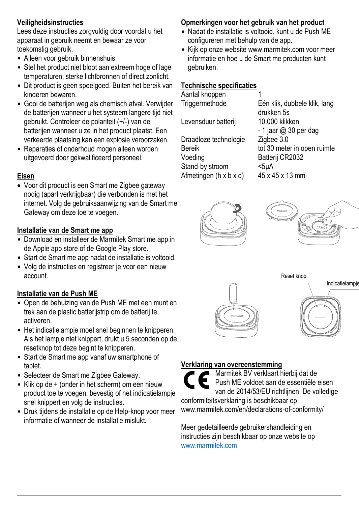#### **Veiligheidsinstructies**

Lees deze instructies zorgvuldig door voordat u het apparaat in gebruik neemt en bewaar ze voor toekomstig gebruik.

- Alleen voor gebruik binnenshuis.
- Stel het product niet bloot aan extreem hoge of lage temperaturen, sterke lichtbronnen of direct zonlicht.
- Dit product is geen speelgoed. Buiten het bereik van kinderen bewaren.
- Gooi de batterijen weg als chemisch afval. Verwijder de batterijen wanneer u het systeem langere tijd niet gebruikt. Controleer de polariteit (+/-) van de batterijen wanneer u ze in het product plaatst. Een verkeerde plaatsing kan een explosie veroorzaken.
- Reparaties of onderhoud mogen alleen worden uitgevoerd door gekwalificeerd personeel.

#### **Eisen**

 Voor dit product is een Smart me Zigbee gateway nodig (apart verkrijgbaar) die verbonden is met het internet. Volg de gebruiksaanwijzing van de Smart me Gateway om deze toe te voegen.

#### **Installatie van de Smart me app**

- Download en installeer de Marmitek Smart me app in de Apple app store of de Google Play store.
- Start de Smart me app nadat de installatie is voltooid.
- Volg de instructies en registreer je voor een nieuw account.

#### **Installatie van de Push ME**

- Open de behuizing van de Push ME met een munt en trek aan de plastic batterijstrip om de batterij te activeren.
- Het indicatielampje moet snel beginnen te knipperen. Als het lampje niet knippert, drukt u 5 seconden op de resetknop tot deze begint te knipperen.
- Start de Smart me app vanaf uw smartphone of tablet.
- Selecteer de Smart me Zigbee Gateway.
- Klik op de + (onder in het scherm) om een nieuw product toe te voegen, bevestig of het indicatielampje snel knippert en volg de instructies.
- Druk tijdens de installatie op de Help-knop voor meer informatie of wanneer de installatie mislukt.

#### **Opmerkingen voor het gebruik van het product**

- Nadat de installatie is voltooid, kunt u de Push ME configureren met behulp van de app.
- Kijk op onze website www.marmitek.com voor meer informatie en hoe u de Smart me producten kunt gebruiken.

#### **Technische specificaties**

| Aantal knoppen         |                              |
|------------------------|------------------------------|
| Triggermethode         | Eén klik, dubbele klik, lang |
|                        | drukken 5s                   |
| Levensduur batterij    | 10.000 klikken               |
|                        | $-1$ jaar @ 30 per dag       |
| Draadloze technologie  | Zigbee 3.0                   |
| <b>Bereik</b>          | tot 30 meter in open ruimte  |
| Voeding                | Batterij CR2032              |
| Stand-by stroom        | $5uA$                        |
| Afmetingen (h x b x d) | 45 x 45 x 13 mm              |
|                        |                              |









#### **Verklaring van overeenstemming**

Marmitek BV verklaart hierbij dat de Push ME voldoet aan de essentiële eisen van de 2014/53/EU richtlijnen. De volledige conformiteitsverklaring is beschikbaar op www.marmitek.com/en/declarations-of-conformity/

Meer gedetailleerde gebruikershandleiding en instructies zijn beschikbaar op onze website op www.marmitek.com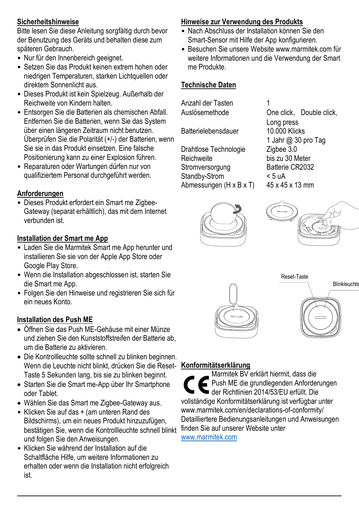#### **Sicherheitshinweise**

Bitte lesen Sie diese Anleitung sorgfältig durch bevor der Benutzung des Geräts und behalten diese zum späteren Gebrauch.

- Nur für den Innenbereich geeignet.
- Setzen Sie das Produkt keinen extrem hohen oder niedrigen Temperaturen, starken Lichtquellen oder direktem Sonnenlicht aus.
- Dieses Produkt ist kein Spielzeug. Außerhalb der Reichweite von Kindern halten.
- Entsorgen Sie die Batterien als chemischen Abfall. Entfernen Sie die Batterien, wenn Sie das System über einen längeren Zeitraum nicht benutzen. Überprüfen Sie die Polarität (+/-) der Batterien, wenn Sie sie in das Produkt einsetzen. Eine falsche Positionierung kann zu einer Explosion führen.
- Reparaturen oder Wartungen dürfen nur von qualifiziertem Personal durchgeführt werden.

#### **Anforderungen**

• Dieses Produkt erfordert ein Smart me Zigbee-Gateway (separat erhältlich), das mit dem Internet verbunden ist.

#### **Installation der Smart me App**

- Laden Sie die Marmitek Smart me App herunter und installieren Sie sie von der Apple App Store oder Google Play Store.
- Wenn die Installation abgeschlossen ist, starten Sie die Smart me App.
- Folgen Sie den Hinweise und registrieren Sie sich für ein neues Konto.

#### **Installation des Push ME**

- Öffnen Sie das Push ME-Gehäuse mit einer Münze und ziehen Sie den Kunststoffstreifen der Batterie ab, um die Batterie zu aktivieren.
- Die Kontrollleuchte sollte schnell zu blinken beginnen. Wenn die Leuchte nicht blinkt, drücken Sie die Reset-Taste 5 Sekunden lang, bis sie zu blinken beginnt.
- Starten Sie die Smart me-App über Ihr Smartphone oder Tablet.
- Wählen Sie das Smart me Zigbee-Gateway aus.
- Klicken Sie auf das + (am unteren Rand des Bildschirms), um ein neues Produkt hinzuzufügen, bestätigen Sie, wenn die Kontrollleuchte schnell blinkt und folgen Sie den Anweisungen.
- Klicken Sie während der Installation auf die Schaltfläche Hilfe, um weitere Informationen zu erhalten oder wenn die Installation nicht erfolgreich ist.

#### **Hinweise zur Verwendung des Produkts**

- Nach Abschluss der Installation können Sie den Smart-Sensor mit Hilfe der App konfigurieren.
- Besuchen Sie unsere Website www.marmitek.com für weitere Informationen und die Verwendung der Smart me Produkte.

#### **Technische Daten**

Anzahl der Tasten<br>Auslösemethode

Batterielebensdauer

Drahtlose Technologie<br>Reichweite Stromversorgung Batterie<br>Standby-Strom < 5 uA Standby-Strom <5 uA<br>Abmessungen (H x B x T) 45 x 45 x 13 mm Abmessungen (H x B x T)

One click Double click Long press<br>10.000 Klicks 1 Jahr @ 30 pro Tag bis zu 30 Meter<br>Ratterie CR2032









#### **Konformitätserklärung**

Marmitek BV erklärt hiermit, dass die Push ME die grundlegenden Anforderungen der Richtlinien 2014/53/EU erfüllt. Die vollständige Konformitätserklärung ist verfügbar unter www.marmitek.com/en/declarations-of-conformity/ Detailliertere Bedienungsanleitungen und Anweisungen finden Sie auf unserer Website unter

www.marmitek.com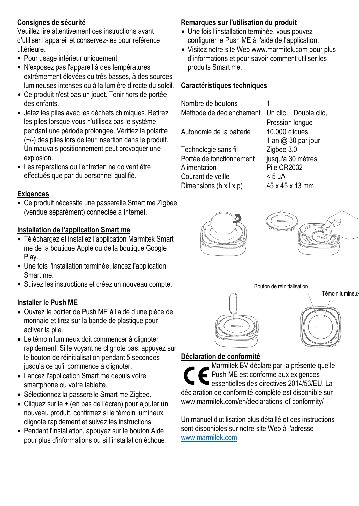#### **Consignes de sécurité**

Veuillez lire attentivement ces instructions avant d'utiliser l'appareil et conservez-les pour référence ultérieure.

- Pour usage intérieur uniquement.
- N'exposez pas l'appareil à des températures extrêmement élevées ou très basses, à des sources lumineuses intenses ou à la lumière directe du soleil.
- Ce produit n'est pas un jouet. Tenir hors de portée des enfants.
- Jetez les piles avec les déchets chimiques. Retirez les piles lorsque vous n'utilisez pas le système pendant une période prolongée. Vérifiez la polarité (+/-) des piles lors de leur insertion dans le produit. Un mauvais positionnement peut provoquer une explosion.
- Les réparations ou l'entretien ne doivent être effectués que par du personnel qualifié.

#### **Exigences**

• Ce produit nécessite une passerelle Smart me Zigbee (vendue séparément) connectée à Internet.

#### **Installation de l'application Smart me**

- Téléchargez et installez l'application Marmitek Smart me de la boutique Apple ou de la boutique Google Play.
- Une fois l'installation terminée, lancez l'application Smart me.
- Suivez les instructions et créez un nouveau compte.

#### **Installer le Push ME**

- Ouvrez le boîtier de Push ME à l'aide d'une pièce de monnaie et tirez sur la bande de plastique pour activer la pile.
- Le témoin lumineux doit commencer à clignoter rapidement. Si le voyant ne clignote pas, appuyez sur le bouton de réinitialisation pendant 5 secondes jusqu'à ce qu'il commence à clignoter.
- Lancez l'application Smart me depuis votre smartphone ou votre tablette.
- Sélectionnez la passerelle Smart me Zigbee.
- Cliquez sur le + (en bas de l'écran) pour ajouter un nouveau produit, confirmez si le témoin lumineux clignote rapidement et suivez les instructions.
- Pendant l'installation, appuyez sur le bouton Aide pour plus d'informations ou si l'installation échoue.

#### **Remarques sur l'utilisation du produit**

- Une fois l'installation terminée, vous pouvez configurer le Push ME à l'aide de l'application.
- Visitez notre site Web www.marmitek.com pour plus d'informations et pour savoir comment utiliser les produits Smart me.

#### **Caractéristiques techniques**

| Nombre de boutons        |                       |
|--------------------------|-----------------------|
| Méthode de déclenchement | Un clic, Double clic, |
|                          | Pression longue       |
| Autonomie de la batterie | 10.000 cliques        |
|                          | 1 an @ 30 par jour    |
| Technologie sans fil     | Zigbee 3.0            |
| Portée de fonctionnement | jusqu'à 30 mètres     |
| Alimentation             | Pile CR2032           |
| Courant de veille        | < 5 uA                |
| Dimensions (h x l x p)   | 45 x 45 x 13 mm       |
|                          |                       |







#### **Déclaration de conformité**

Marmitek BV déclare par la présente que le Push ME est conforme aux exigences essentielles des directives 2014/53/EU. La déclaration de conformité complète est disponible sur www.marmitek.com/en/declarations-of-conformity/

Un manuel d'utilisation plus détaillé et des instructions sont disponibles sur notre site Web à l'adresse www.marmitek.com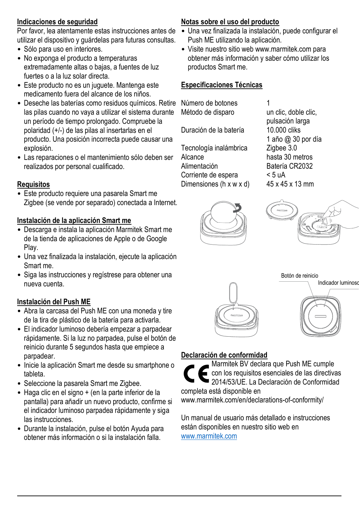#### **Indicaciones de seguridad**

Por favor, lea atentamente estas instrucciones antes de utilizar el dispositivo y guárdelas para futuras consultas.

- Sólo para uso en interiores.
- No exponga el producto a temperaturas extremadamente altas o bajas, a fuentes de luz fuertes o a la luz solar directa.
- Este producto no es un juguete. Mantenga este medicamento fuera del alcance de los niños.
- Deseche las baterías como residuos químicos. Retire Número de botones 1 las pilas cuando no vaya a utilizar el sistema durante un período de tiempo prolongado. Compruebe la polaridad (+/-) de las pilas al insertarlas en el producto. Una posición incorrecta puede causar una explosión.
- Las reparaciones o el mantenimiento sólo deben ser realizados por personal cualificado.

#### **Requisitos**

• Este producto requiere una pasarela Smart me Zigbee (se vende por separado) conectada a Internet.

#### **Instalación de la aplicación Smart me**

- Descarga e instala la aplicación Marmitek Smart me de la tienda de aplicaciones de Apple o de Google Play.
- Una vez finalizada la instalación, ejecute la aplicación Smart me.
- Siga las instrucciones y regístrese para obtener una nueva cuenta.

#### **Instalación del Push ME**

- Abra la carcasa del Push ME con una moneda y tire de la tira de plástico de la batería para activarla.
- El indicador luminoso debería empezar a parpadear rápidamente. Si la luz no parpadea, pulse el botón de reinicio durante 5 segundos hasta que empiece a parpadear.
- Inicie la aplicación Smart me desde su smartphone o tableta.
- Seleccione la pasarela Smart me Zigbee.
- Haga clic en el signo + (en la parte inferior de la pantalla) para añadir un nuevo producto, confirme si el indicador luminoso parpadea rápidamente y siga las instrucciones.
- Durante la instalación, pulse el botón Ayuda para obtener más información o si la instalación falla.

#### **Notas sobre el uso del producto**

- Una vez finalizada la instalación, puede configurar el Push ME utilizando la aplicación.
- Visite nuestro sitio web www.marmitek.com para obtener más información y saber cómo utilizar los productos Smart me.

#### **Especificaciones Técnicas**

Método de disparo un clic, doble clic,

Duración de la batería

Tecnología inalámbrica<br>Alcance Alcance hasta 30 metros<br>Alimentación Ratería CR2032 Corriente de espera  $<$  5 uA<br>Dimensiones (h x w x d)  $45$  x 45 x 13 mm Dimensiones ( $h \times w \times d$ )

pulsación larga<br>10.000 cliks 1 año @ 30 por día Batería CR2032<br>< 5 uA









#### **Declaración de conformidad**

Marmitek BV declara que Push ME cumple con los requisitos esenciales de las directivas 2014/53/UE. La Declaración de Conformidad completa está disponible en www.marmitek.com/en/declarations-of-conformity/

Un manual de usuario más detallado e instrucciones están disponibles en nuestro sitio web en www.marmitek.com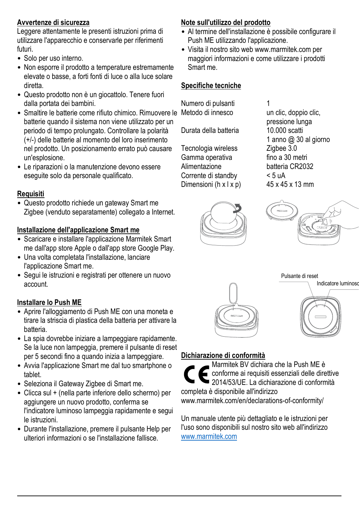#### **Avvertenze di sicurezza**

Leggere attentamente le presenti istruzioni prima di utilizzare l'apparecchio e conservarle per riferimenti futuri.

- Solo per uso interno.
- Non esporre il prodotto a temperature estremamente elevate o basse, a forti fonti di luce o alla luce solare diretta.
- Questo prodotto non è un giocattolo. Tenere fuori dalla portata dei bambini.
- Smaltire le batterie come rifiuto chimico. Rimuovere le Metodo di innesco un clic, doppio clic, batterie quando il sistema non viene utilizzato per un periodo di tempo prolungato. Controllare la polarità (+/-) delle batterie al momento del loro inserimento nel prodotto. Un posizionamento errato può causare un'esplosione.
- Le riparazioni o la manutenzione devono essere eseguite solo da personale qualificato.

#### **Requisiti**

• Questo prodotto richiede un gateway Smart me Zigbee (venduto separatamente) collegato a Internet.

#### **Installazione dell'applicazione Smart me**

- Scaricare e installare l'applicazione Marmitek Smart me dall'app store Apple o dall'app store Google Play.
- Una volta completata l'installazione, lanciare l'applicazione Smart me.
- Segui le istruzioni e registrati per ottenere un nuovo account.

#### **Installare lo Push ME**

- Aprire l'alloggiamento di Push ME con una moneta e tirare la striscia di plastica della batteria per attivare la batteria.
- La spia dovrebbe iniziare a lampeggiare rapidamente. Se la luce non lampeggia, premere il pulsante di reset per 5 secondi fino a quando inizia a lampeggiare.
- Avvia l'applicazione Smart me dal tuo smartphone o tablet.
- Seleziona il Gateway Zigbee di Smart me.
- Clicca sul + (nella parte inferiore dello schermo) per aggiungere un nuovo prodotto, conferma se l'indicatore luminoso lampeggia rapidamente e segui le istruzioni.
- Durante l'installazione, premere il pulsante Help per ulteriori informazioni o se l'installazione fallisce.

#### **Note sull'utilizzo del prodotto**

- Al termine dell'installazione è possibile configurare il Push ME utilizzando l'applicazione.
- Visita il nostro sito web www.marmitek.com per maggiori informazioni e come utilizzare i prodotti Smart me.

#### **Specifiche tecniche**

Numero di pulsanti 1<br>Metodo di innesco di un clic doppio clic

Durata della batteria

Tecnologia wireless Zigbee 3.0<br>Gamma operativa fino a 30 metri Gamma operativa<br>Alimentazione Corrente di standby  $<$  5 uA<br>Dimensioni (h x l x n)  $45 \times 45 \times 13$  mm Dimensioni ( $h \times l \times p$ )

pressione lunga<br>10.000 scatti 1 anno @ 30 al giorno batteria CR2032<br>< 5 uA









#### **Dichiarazione di conformità**

Marmitek BV dichiara che la Push ME è conforme ai requisiti essenziali delle direttive 2014/53/UE. La dichiarazione di conformità completa è disponibile all'indirizzo www.marmitek.com/en/declarations-of-conformity/

Un manuale utente più dettagliato e le istruzioni per l'uso sono disponibili sul nostro sito web all'indirizzo www.marmitek.com